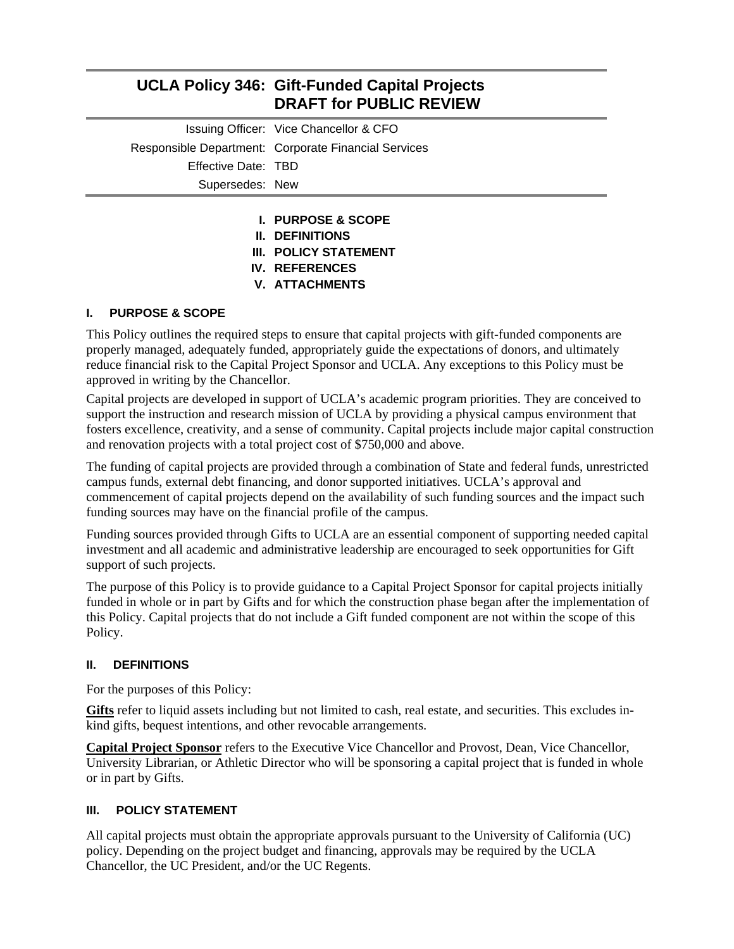|                     | <b>UCLA Policy 346: Gift-Funded Capital Projects</b><br><b>DRAFT for PUBLIC REVIEW</b> |
|---------------------|----------------------------------------------------------------------------------------|
|                     | Issuing Officer: Vice Chancellor & CFO                                                 |
|                     | Responsible Department: Corporate Financial Services                                   |
| Effective Date: TBD |                                                                                        |
| Supersedes: New     |                                                                                        |
|                     | <b>I. PURPOSE &amp; SCOPE</b>                                                          |

- 
- **II. DEFINITIONS III. POLICY STATEMENT**
- **IV. REFERENCES**
- **V. ATTACHMENTS**

## **I. PURPOSE & SCOPE**

This Policy outlines the required steps to ensure that capital projects with gift-funded components are properly managed, adequately funded, appropriately guide the expectations of donors, and ultimately reduce financial risk to the Capital Project Sponsor and UCLA. Any exceptions to this Policy must be approved in writing by the Chancellor.

Capital projects are developed in support of UCLA's academic program priorities. They are conceived to support the instruction and research mission of UCLA by providing a physical campus environment that fosters excellence, creativity, and a sense of community. Capital projects include major capital construction and renovation projects with a total project cost of \$750,000 and above.

The funding of capital projects are provided through a combination of State and federal funds, unrestricted campus funds, external debt financing, and donor supported initiatives. UCLA's approval and commencement of capital projects depend on the availability of such funding sources and the impact such funding sources may have on the financial profile of the campus.

Funding sources provided through Gifts to UCLA are an essential component of supporting needed capital investment and all academic and administrative leadership are encouraged to seek opportunities for Gift support of such projects.

The purpose of this Policy is to provide guidance to a Capital Project Sponsor for capital projects initially funded in whole or in part by Gifts and for which the construction phase began after the implementation of this Policy. Capital projects that do not include a Gift funded component are not within the scope of this Policy.

#### **II. DEFINITIONS**

For the purposes of this Policy:

**Gifts** refer to liquid assets including but not limited to cash, real estate, and securities. This excludes inkind gifts, bequest intentions, and other revocable arrangements.

**Capital Project Sponsor** refers to the Executive Vice Chancellor and Provost, Dean, Vice Chancellor, University Librarian, or Athletic Director who will be sponsoring a capital project that is funded in whole or in part by Gifts.

#### **III.** POLICY STATEMENT

All capital projects must obtain the appropriate approvals pursuant to the University of California (UC) policy. Depending on the project budget and financing, approvals may be required by the UCLA Chancellor, the UC President, and/or the UC Regents.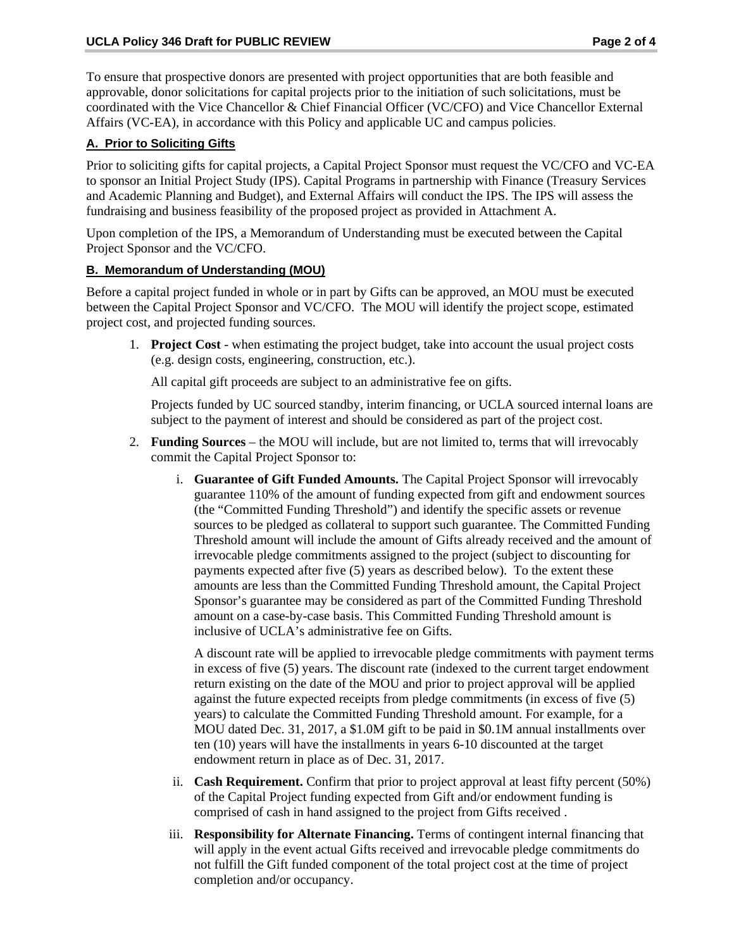To ensure that prospective donors are presented with project opportunities that are both feasible and approvable, donor solicitations for capital projects prior to the initiation of such solicitations, must be coordinated with the Vice Chancellor & Chief Financial Officer (VC/CFO) and Vice Chancellor External Affairs (VC-EA), in accordance with this Policy and applicable UC and campus policies.

## **A. Prior to Soliciting Gifts**

Prior to soliciting gifts for capital projects, a Capital Project Sponsor must request the VC/CFO and VC-EA to sponsor an Initial Project Study (IPS). Capital Programs in partnership with Finance (Treasury Services and Academic Planning and Budget), and External Affairs will conduct the IPS. The IPS will assess the fundraising and business feasibility of the proposed project as provided in Attachment A.

Upon completion of the IPS, a Memorandum of Understanding must be executed between the Capital Project Sponsor and the VC/CFO.

## **B. Memorandum of Understanding (MOU)**

Before a capital project funded in whole or in part by Gifts can be approved, an MOU must be executed between the Capital Project Sponsor and VC/CFO. The MOU will identify the project scope, estimated project cost, and projected funding sources.

1. **Project Cost** - when estimating the project budget, take into account the usual project costs (e.g. design costs, engineering, construction, etc.).

All capital gift proceeds are subject to an administrative fee on gifts.

Projects funded by UC sourced standby, interim financing, or UCLA sourced internal loans are subject to the payment of interest and should be considered as part of the project cost.

- 2. **Funding Sources** the MOU will include, but are not limited to, terms that will irrevocably commit the Capital Project Sponsor to:
	- i. **Guarantee of Gift Funded Amounts.** The Capital Project Sponsor will irrevocably guarantee 110% of the amount of funding expected from gift and endowment sources (the "Committed Funding Threshold") and identify the specific assets or revenue sources to be pledged as collateral to support such guarantee. The Committed Funding Threshold amount will include the amount of Gifts already received and the amount of irrevocable pledge commitments assigned to the project (subject to discounting for payments expected after five (5) years as described below). To the extent these amounts are less than the Committed Funding Threshold amount, the Capital Project Sponsor's guarantee may be considered as part of the Committed Funding Threshold amount on a case-by-case basis. This Committed Funding Threshold amount is inclusive of UCLA's administrative fee on Gifts.

A discount rate will be applied to irrevocable pledge commitments with payment terms in excess of five (5) years. The discount rate (indexed to the current target endowment return existing on the date of the MOU and prior to project approval will be applied against the future expected receipts from pledge commitments (in excess of five (5) years) to calculate the Committed Funding Threshold amount. For example, for a MOU dated Dec. 31, 2017, a \$1.0M gift to be paid in \$0.1M annual installments over ten (10) years will have the installments in years 6-10 discounted at the target endowment return in place as of Dec. 31, 2017.

- ii. **Cash Requirement.** Confirm that prior to project approval at least fifty percent (50%) of the Capital Project funding expected from Gift and/or endowment funding is comprised of cash in hand assigned to the project from Gifts received .
- iii. **Responsibility for Alternate Financing.** Terms of contingent internal financing that will apply in the event actual Gifts received and irrevocable pledge commitments do not fulfill the Gift funded component of the total project cost at the time of project completion and/or occupancy.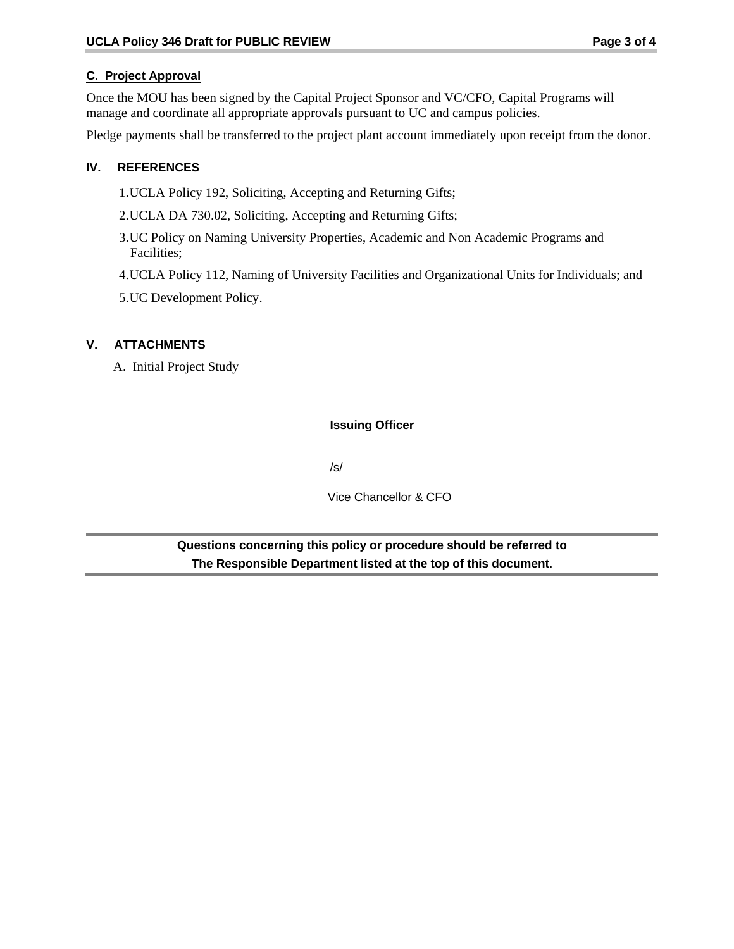## **C. Project Approval**

Once the MOU has been signed by the Capital Project Sponsor and VC/CFO, Capital Programs will manage and coordinate all appropriate approvals pursuant to UC and campus policies.

Pledge payments shall be transferred to the project plant account immediately upon receipt from the donor.

#### **IV. REFERENCES**

1.UCLA Policy 192, Soliciting, Accepting and Returning Gifts;

2.UCLA DA 730.02, Soliciting, Accepting and Returning Gifts;

3.UC Policy on Naming University Properties, Academic and Non Academic Programs and Facilities;

4.UCLA Policy 112, Naming of University Facilities and Organizational Units for Individuals; and

5.UC Development Policy.

## **V. ATTACHMENTS**

A. Initial Project Study

## **Issuing Officer**

/s/

Vice Chancellor & CFO

**Questions concerning this policy or procedure should be referred to The Responsible Department listed at the top of this document.**